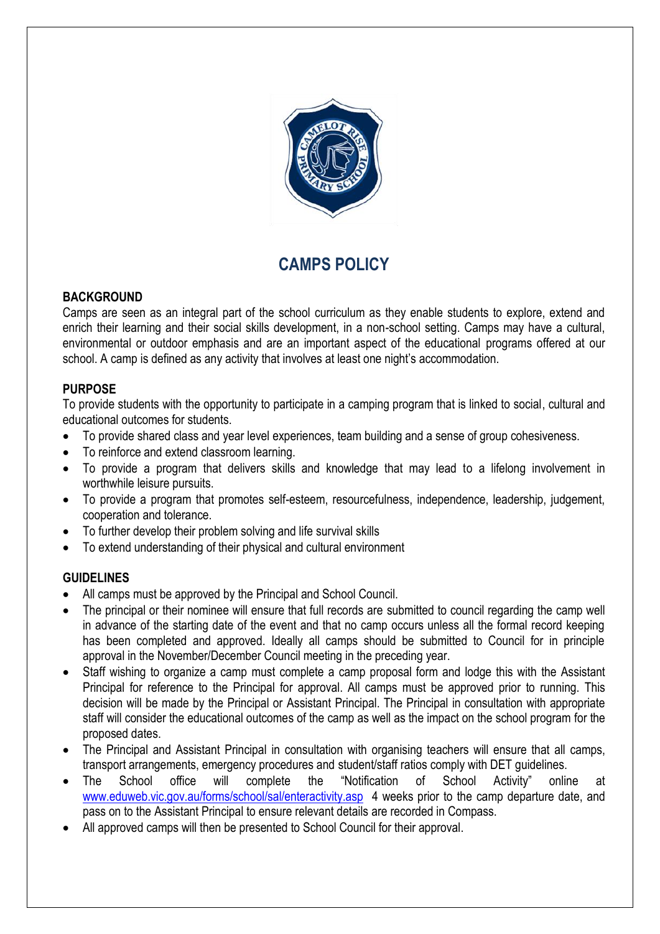

# **CAMPS POLICY**

#### **BACKGROUND**

Camps are seen as an integral part of the school curriculum as they enable students to explore, extend and enrich their learning and their social skills development, in a non-school setting. Camps may have a cultural, environmental or outdoor emphasis and are an important aspect of the educational programs offered at our school. A camp is defined as any activity that involves at least one night's accommodation.

### **PURPOSE**

To provide students with the opportunity to participate in a camping program that is linked to social, cultural and educational outcomes for students.

- To provide shared class and year level experiences, team building and a sense of group cohesiveness.
- To reinforce and extend classroom learning.
- To provide a program that delivers skills and knowledge that may lead to a lifelong involvement in worthwhile leisure pursuits.
- To provide a program that promotes self-esteem, resourcefulness, independence, leadership, judgement, cooperation and tolerance.
- To further develop their problem solving and life survival skills
- To extend understanding of their physical and cultural environment

### **GUIDELINES**

- All camps must be approved by the Principal and School Council.
- The principal or their nominee will ensure that full records are submitted to council regarding the camp well in advance of the starting date of the event and that no camp occurs unless all the formal record keeping has been completed and approved. Ideally all camps should be submitted to Council for in principle approval in the November/December Council meeting in the preceding year.
- Staff wishing to organize a camp must complete a camp proposal form and lodge this with the Assistant Principal for reference to the Principal for approval. All camps must be approved prior to running. This decision will be made by the Principal or Assistant Principal. The Principal in consultation with appropriate staff will consider the educational outcomes of the camp as well as the impact on the school program for the proposed dates.
- The Principal and Assistant Principal in consultation with organising teachers will ensure that all camps, transport arrangements, emergency procedures and student/staff ratios comply with DET guidelines.
- The School office will complete the "Notification of School Activity" online at [www.eduweb.vic.gov.au/forms/school/sal/enteractivity.asp](http://www.eduweb.vic.gov.au/forms/school/sal/enteractivity.asp) 4 weeks prior to the camp departure date, and pass on to the Assistant Principal to ensure relevant details are recorded in Compass.
- All approved camps will then be presented to School Council for their approval.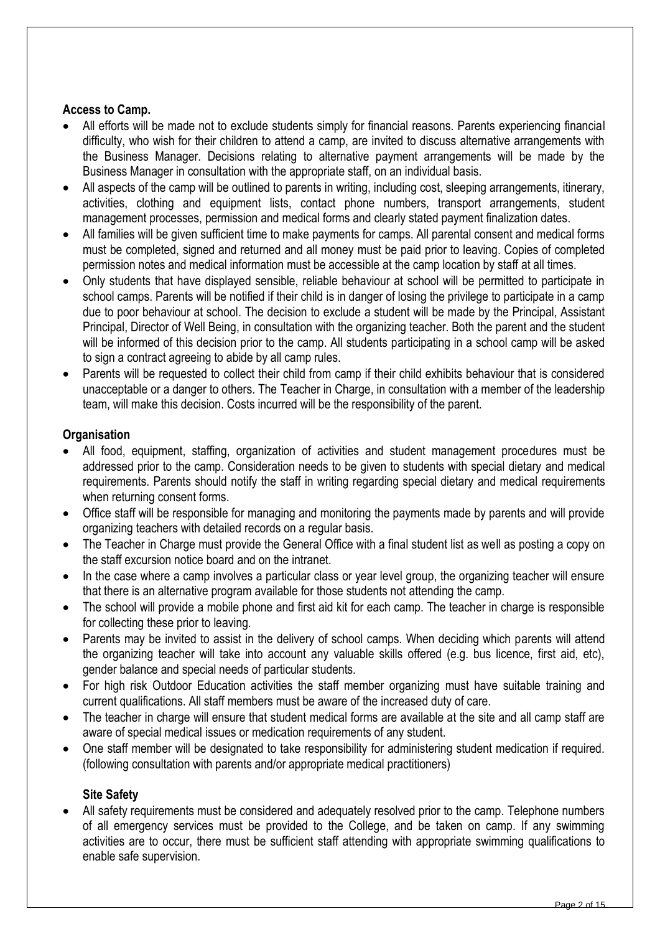### **Access to Camp.**

- All efforts will be made not to exclude students simply for financial reasons. Parents experiencing financial difficulty, who wish for their children to attend a camp, are invited to discuss alternative arrangements with the Business Manager. Decisions relating to alternative payment arrangements will be made by the Business Manager in consultation with the appropriate staff, on an individual basis.
- All aspects of the camp will be outlined to parents in writing, including cost, sleeping arrangements, itinerary, activities, clothing and equipment lists, contact phone numbers, transport arrangements, student management processes, permission and medical forms and clearly stated payment finalization dates.
- All families will be given sufficient time to make payments for camps. All parental consent and medical forms must be completed, signed and returned and all money must be paid prior to leaving. Copies of completed permission notes and medical information must be accessible at the camp location by staff at all times.
- Only students that have displayed sensible, reliable behaviour at school will be permitted to participate in school camps. Parents will be notified if their child is in danger of losing the privilege to participate in a camp due to poor behaviour at school. The decision to exclude a student will be made by the Principal, Assistant Principal, Director of Well Being, in consultation with the organizing teacher. Both the parent and the student will be informed of this decision prior to the camp. All students participating in a school camp will be asked to sign a contract agreeing to abide by all camp rules.
- Parents will be requested to collect their child from camp if their child exhibits behaviour that is considered unacceptable or a danger to others. The Teacher in Charge, in consultation with a member of the leadership team, will make this decision. Costs incurred will be the responsibility of the parent.

# **Organisation**

- All food, equipment, staffing, organization of activities and student management procedures must be addressed prior to the camp. Consideration needs to be given to students with special dietary and medical requirements. Parents should notify the staff in writing regarding special dietary and medical requirements when returning consent forms.
- Office staff will be responsible for managing and monitoring the payments made by parents and will provide organizing teachers with detailed records on a regular basis.
- The Teacher in Charge must provide the General Office with a final student list as well as posting a copy on the staff excursion notice board and on the intranet.
- In the case where a camp involves a particular class or year level group, the organizing teacher will ensure that there is an alternative program available for those students not attending the camp.
- The school will provide a mobile phone and first aid kit for each camp. The teacher in charge is responsible for collecting these prior to leaving.
- Parents may be invited to assist in the delivery of school camps. When deciding which parents will attend the organizing teacher will take into account any valuable skills offered (e.g. bus licence, first aid, etc), gender balance and special needs of particular students.
- For high risk Outdoor Education activities the staff member organizing must have suitable training and current qualifications. All staff members must be aware of the increased duty of care.
- The teacher in charge will ensure that student medical forms are available at the site and all camp staff are aware of special medical issues or medication requirements of any student.
- One staff member will be designated to take responsibility for administering student medication if required. (following consultation with parents and/or appropriate medical practitioners)

# **Site Safety**

 All safety requirements must be considered and adequately resolved prior to the camp. Telephone numbers of all emergency services must be provided to the College, and be taken on camp. If any swimming activities are to occur, there must be sufficient staff attending with appropriate swimming qualifications to enable safe supervision.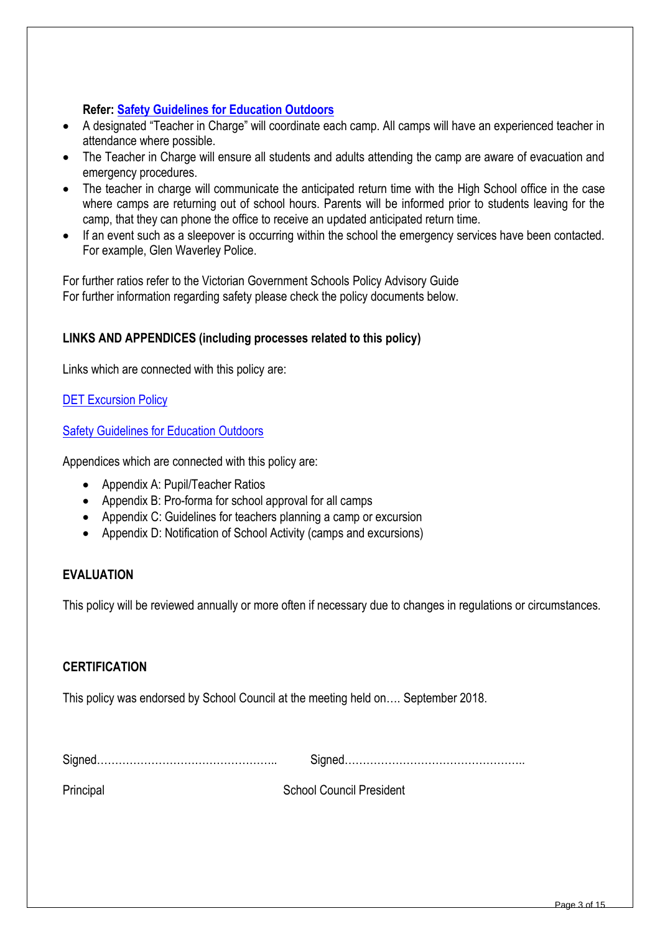# **Refer: [Safety Guidelines for Education Outdoors](http://www.education.vic.gov.au/school/principals/safety/pages/outdoor.aspx#mainContent)**

- A designated "Teacher in Charge" will coordinate each camp. All camps will have an experienced teacher in attendance where possible.
- The Teacher in Charge will ensure all students and adults attending the camp are aware of evacuation and emergency procedures.
- The teacher in charge will communicate the anticipated return time with the High School office in the case where camps are returning out of school hours. Parents will be informed prior to students leaving for the camp, that they can phone the office to receive an updated anticipated return time.
- If an event such as a sleepover is occurring within the school the emergency services have been contacted. For example, Glen Waverley Police.

For further ratios refer to the Victorian Government Schools Policy Advisory Guide For further information regarding safety please check the policy documents below.

# **LINKS AND APPENDICES (including processes related to this policy)**

Links which are connected with this policy are:

### **DET [Excursion Policy](http://www.education.vic.gov.au/school/principals/spag/safety/Pages/excursions.aspx#mainContent)**

[Safety Guidelines for Education Outdoors](http://www.education.vic.gov.au/school/principals/safety/pages/outdoor.aspx#mainContent)

Appendices which are connected with this policy are:

- Appendix A: Pupil/Teacher Ratios
- Appendix B: Pro-forma for school approval for all camps
- Appendix C: Guidelines for teachers planning a camp or excursion
- Appendix D: Notification of School Activity (camps and excursions)

### **EVALUATION**

This policy will be reviewed annually or more often if necessary due to changes in regulations or circumstances.

### **CERTIFICATION**

This policy was endorsed by School Council at the meeting held on…. September 2018.

|--|--|

Principal **School Council President**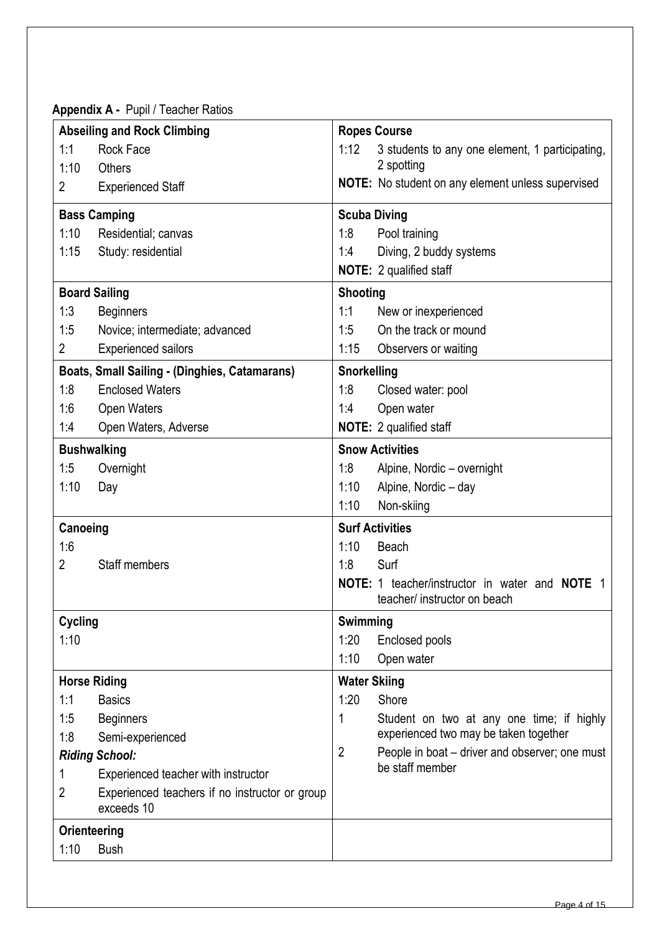**Appendix A -** Pupil / Teacher Ratios

|          | <b>Abseiling and Rock Climbing</b>                           |                     | <b>Ropes Course</b>                                                                          |
|----------|--------------------------------------------------------------|---------------------|----------------------------------------------------------------------------------------------|
| 1:1      | Rock Face                                                    | 1:12                | 3 students to any one element, 1 participating,                                              |
| 1:10     | <b>Others</b>                                                |                     | 2 spotting                                                                                   |
| 2        | <b>Experienced Staff</b>                                     |                     | <b>NOTE:</b> No student on any element unless supervised                                     |
|          | <b>Bass Camping</b>                                          | <b>Scuba Diving</b> |                                                                                              |
| 1:10     | Residential; canvas                                          | 1:8                 | Pool training                                                                                |
| 1:15     | Study: residential                                           | 1:4                 | Diving, 2 buddy systems                                                                      |
|          |                                                              |                     | NOTE: 2 qualified staff                                                                      |
|          | <b>Board Sailing</b>                                         | <b>Shooting</b>     |                                                                                              |
| 1:3      | <b>Beginners</b>                                             | 1:1                 | New or inexperienced                                                                         |
| 1:5      | Novice; intermediate; advanced                               | 1:5                 | On the track or mound                                                                        |
| 2        | <b>Experienced sailors</b>                                   | 1:15                | Observers or waiting                                                                         |
|          | <b>Boats, Small Sailing - (Dinghies, Catamarans)</b>         | Snorkelling         |                                                                                              |
| 1:8      | <b>Enclosed Waters</b>                                       | 1:8                 | Closed water: pool                                                                           |
| 1:6      | <b>Open Waters</b>                                           | 1:4                 | Open water                                                                                   |
| 1:4      | Open Waters, Adverse                                         |                     | <b>NOTE:</b> 2 qualified staff                                                               |
|          | <b>Bushwalking</b>                                           |                     | <b>Snow Activities</b>                                                                       |
| 1:5      | Overnight                                                    | 1:8                 | Alpine, Nordic - overnight                                                                   |
| 1:10     | Day                                                          | 1:10                | Alpine, Nordic - day                                                                         |
|          |                                                              | 1:10                | Non-skiing                                                                                   |
| Canoeing |                                                              |                     | <b>Surf Activities</b>                                                                       |
| 1:6      |                                                              | 1:10                | Beach                                                                                        |
| 2        | Staff members                                                | 1:8                 | Surf                                                                                         |
|          |                                                              |                     | <b>NOTE:</b> 1 teacher/instructor in water and <b>NOTE</b> 1<br>teacher/ instructor on beach |
| Cycling  |                                                              | Swimming            |                                                                                              |
| 1:10     |                                                              | 1:20                | Enclosed pools                                                                               |
|          |                                                              | 1:10                | Open water                                                                                   |
|          | <b>Horse Riding</b>                                          | <b>Water Skiing</b> |                                                                                              |
| 1:1      | <b>Basics</b>                                                | 1:20                | Shore                                                                                        |
| 1:5      | <b>Beginners</b>                                             | 1                   | Student on two at any one time; if highly                                                    |
| 1:8      | Semi-experienced                                             |                     | experienced two may be taken together                                                        |
|          | <b>Riding School:</b>                                        | 2                   | People in boat – driver and observer; one must                                               |
|          | Experienced teacher with instructor                          |                     | be staff member                                                                              |
| 2        | Experienced teachers if no instructor or group<br>exceeds 10 |                     |                                                                                              |
|          | Orienteering                                                 |                     |                                                                                              |
| 1:10     | <b>Bush</b>                                                  |                     |                                                                                              |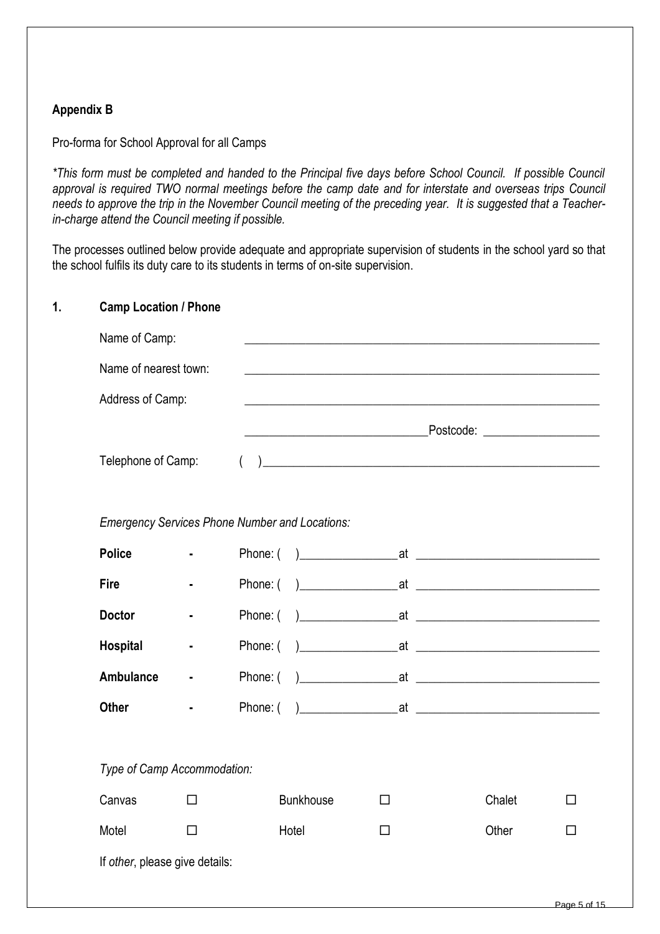# **Appendix B**

Pro-forma for School Approval for all Camps

*\*This form must be completed and handed to the Principal five days before School Council. If possible Council approval is required TWO normal meetings before the camp date and for interstate and overseas trips Council needs to approve the trip in the November Council meeting of the preceding year. It is suggested that a Teacherin-charge attend the Council meeting if possible.*

The processes outlined below provide adequate and appropriate supervision of students in the school yard so that the school fulfils its duty care to its students in terms of on-site supervision.

#### **1. Camp Location / Phone**

| Name of Camp:                                                                      |                  |                                                       | <u> 1989 - Johann Stoff, amerikansk politiker (d. 1989)</u> |        |   |  |
|------------------------------------------------------------------------------------|------------------|-------------------------------------------------------|-------------------------------------------------------------|--------|---|--|
| Name of nearest town:<br><u> 1989 - John Stone, amerikansk politiker (d. 1989)</u> |                  |                                                       |                                                             |        |   |  |
|                                                                                    | Address of Camp: |                                                       |                                                             |        |   |  |
|                                                                                    |                  |                                                       |                                                             |        |   |  |
| Telephone of Camp:                                                                 |                  | $\left($                                              |                                                             |        |   |  |
|                                                                                    |                  |                                                       |                                                             |        |   |  |
|                                                                                    |                  | <b>Emergency Services Phone Number and Locations:</b> |                                                             |        |   |  |
| <b>Police</b>                                                                      |                  |                                                       |                                                             |        |   |  |
| <b>Fire</b>                                                                        |                  |                                                       |                                                             |        |   |  |
| <b>Doctor</b>                                                                      | $\blacksquare$   | Phone: (                                              |                                                             |        |   |  |
| <b>Hospital</b>                                                                    | $\blacksquare$   | Phone: (                                              |                                                             |        |   |  |
| <b>Ambulance</b>                                                                   | $\blacksquare$   |                                                       |                                                             |        |   |  |
| <b>Other</b>                                                                       |                  |                                                       |                                                             |        |   |  |
|                                                                                    |                  |                                                       |                                                             |        |   |  |
| Type of Camp Accommodation:                                                        |                  |                                                       |                                                             |        |   |  |
| Canvas                                                                             | П                | <b>Bunkhouse</b>                                      | $\Box$                                                      | Chalet | П |  |
| Motel                                                                              | □                | Hotel                                                 | $\Box$                                                      | Other  | П |  |
| If other, please give details:                                                     |                  |                                                       |                                                             |        |   |  |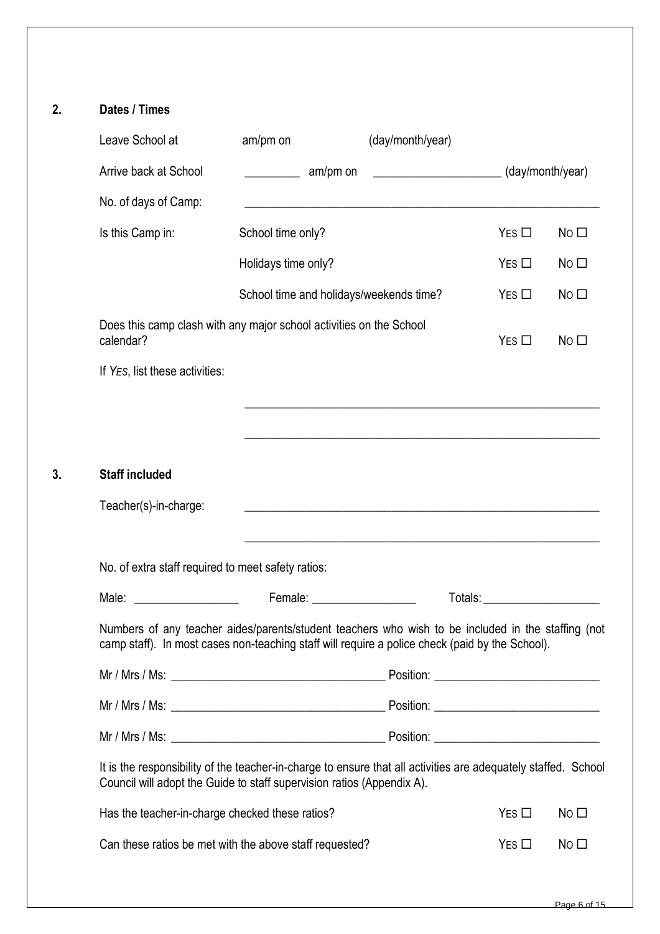|    | Leave School at                                                                  | am/pm on                                | (day/month/year)                                                                                                                                                                                      |                                                                                                                                                                                                                                |                 |
|----|----------------------------------------------------------------------------------|-----------------------------------------|-------------------------------------------------------------------------------------------------------------------------------------------------------------------------------------------------------|--------------------------------------------------------------------------------------------------------------------------------------------------------------------------------------------------------------------------------|-----------------|
|    | Arrive back at School                                                            | ________________ am/pm on               | $\frac{1}{2}$ (day/month/year)                                                                                                                                                                        |                                                                                                                                                                                                                                |                 |
|    | No. of days of Camp:                                                             |                                         |                                                                                                                                                                                                       |                                                                                                                                                                                                                                |                 |
|    | Is this Camp in:                                                                 | School time only?                       |                                                                                                                                                                                                       | $Yes \Box$                                                                                                                                                                                                                     | No $\square$    |
|    |                                                                                  | Holidays time only?                     |                                                                                                                                                                                                       | $Yes \Box$                                                                                                                                                                                                                     | No $\square$    |
|    |                                                                                  | School time and holidays/weekends time? |                                                                                                                                                                                                       | $Yes \Box$                                                                                                                                                                                                                     | No $\square$    |
|    | Does this camp clash with any major school activities on the School<br>calendar? |                                         |                                                                                                                                                                                                       | $Yes \Box$                                                                                                                                                                                                                     | No $\square$    |
|    | If YES, list these activities:                                                   |                                         |                                                                                                                                                                                                       |                                                                                                                                                                                                                                |                 |
|    |                                                                                  |                                         | <u> 1989 - Jan James James James James James James James James James James James James James James James James J</u>                                                                                  |                                                                                                                                                                                                                                |                 |
|    |                                                                                  |                                         |                                                                                                                                                                                                       |                                                                                                                                                                                                                                |                 |
| 3. | <b>Staff included</b>                                                            |                                         |                                                                                                                                                                                                       |                                                                                                                                                                                                                                |                 |
|    | Teacher(s)-in-charge:                                                            |                                         | <u> 1980 - Jan Sterling, amerikansk politiker (d. 1980)</u>                                                                                                                                           |                                                                                                                                                                                                                                |                 |
|    |                                                                                  |                                         |                                                                                                                                                                                                       |                                                                                                                                                                                                                                |                 |
|    | No. of extra staff required to meet safety ratios:                               |                                         |                                                                                                                                                                                                       |                                                                                                                                                                                                                                |                 |
|    | Male:<br><u> 1980 - John Stone, amerikansk politiker</u>                         | Female: <u>___________________</u>      |                                                                                                                                                                                                       | Totals: The contract of the contract of the contract of the contract of the contract of the contract of the contract of the contract of the contract of the contract of the contract of the contract of the contract of the co |                 |
|    |                                                                                  |                                         | Numbers of any teacher aides/parents/student teachers who wish to be included in the staffing (not<br>camp staff). In most cases non-teaching staff will require a police check (paid by the School). |                                                                                                                                                                                                                                |                 |
|    |                                                                                  |                                         |                                                                                                                                                                                                       |                                                                                                                                                                                                                                |                 |
|    |                                                                                  |                                         |                                                                                                                                                                                                       |                                                                                                                                                                                                                                |                 |
|    |                                                                                  |                                         |                                                                                                                                                                                                       |                                                                                                                                                                                                                                |                 |
|    | Council will adopt the Guide to staff supervision ratios (Appendix A).           |                                         | It is the responsibility of the teacher-in-charge to ensure that all activities are adequately staffed. School                                                                                        |                                                                                                                                                                                                                                |                 |
|    | Has the teacher-in-charge checked these ratios?                                  |                                         |                                                                                                                                                                                                       | $Yes \Box$                                                                                                                                                                                                                     | No <sub>1</sub> |
|    | Can these ratios be met with the above staff requested?                          |                                         |                                                                                                                                                                                                       | $Yes \Box$                                                                                                                                                                                                                     | No <sub>1</sub> |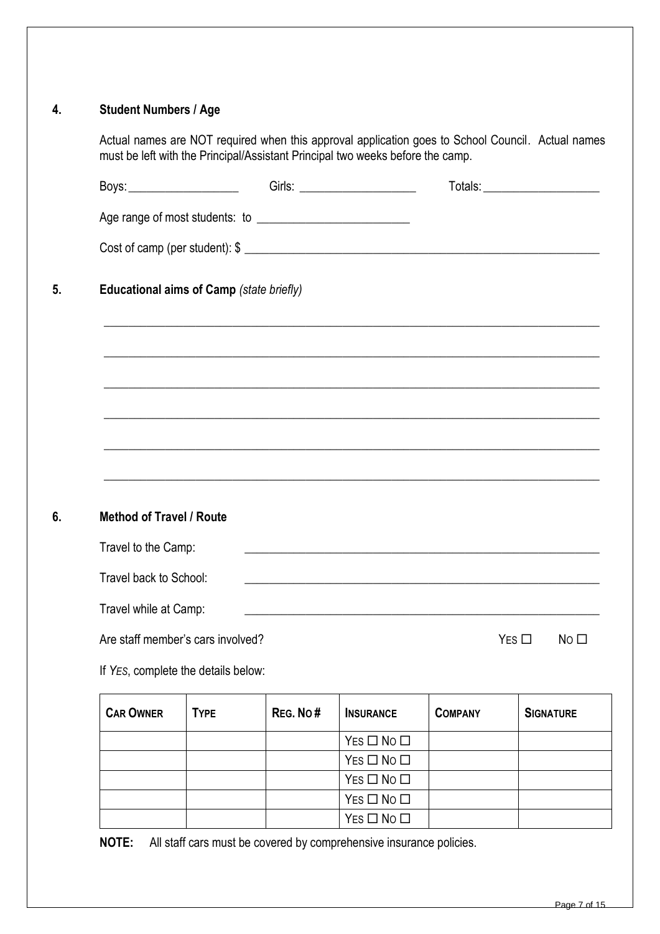# **4. Student Numbers / Age**

Actual names are NOT required when this approval application goes to School Council. Actual names must be left with the Principal/Assistant Principal two weeks before the camp.

| Boys: ________________________           |             |          |                                                                                                                                                  |                | Totals: ________________________ |
|------------------------------------------|-------------|----------|--------------------------------------------------------------------------------------------------------------------------------------------------|----------------|----------------------------------|
|                                          |             |          |                                                                                                                                                  |                |                                  |
|                                          |             |          |                                                                                                                                                  |                |                                  |
| Educational aims of Camp (state briefly) |             |          | ,我们也不能在这里的时候,我们也不能在这里的时候,我们也不能会在这里的时候,我们也不能会在这里的时候,我们也不能会在这里的时候,我们也不能会在这里的时候,我们也不                                                                |                |                                  |
|                                          |             |          |                                                                                                                                                  |                |                                  |
|                                          |             |          | ,我们也不能在这里的时候,我们也不能在这里的时候,我们也不能会在这里,我们也不能会在这里的时候,我们也不能会在这里的时候,我们也不能会在这里的时候,我们也不能会                                                                 |                |                                  |
|                                          |             |          | ,我们也不能在这里的人,我们也不能在这里的人,我们也不能在这里的人,我们也不能在这里的人,我们也不能在这里的人,我们也不能在这里的人,我们也不能在这里的人,我们也                                                                |                |                                  |
|                                          |             |          | ,我们也不能在这里的时候,我们也不能在这里的时候,我们也不能会在这里,我们也不能会不能会不能会不能会不能会不能会不能会。<br>第2012章 我们的时候,我们的时候,我们的时候,我们的时候,我们的时候,我们的时候,我们的时候,我们的时候,我们的时候,我们的时候,我们的时候,我们的时候,我 |                |                                  |
| <b>Method of Travel / Route</b>          |             |          |                                                                                                                                                  |                |                                  |
| Travel to the Camp:                      |             |          | and the control of the control of the control of the control of the control of the control of the control of the                                 |                |                                  |
| Travel back to School:                   |             |          | <u> 2000 - Jan James James Jan James James Jan James James Jan James James Jan James James Jan James James Jan J</u>                             |                |                                  |
| Travel while at Camp:                    |             |          | <u> 2000 - Jan James James James James James James James James James James James James James James James James J</u>                             |                |                                  |
|                                          |             |          |                                                                                                                                                  |                |                                  |
| Are staff member's cars involved?        |             |          |                                                                                                                                                  |                | $Yes \Box$<br>No <sub>1</sub>    |
| If YES, complete the details below:      |             |          |                                                                                                                                                  |                |                                  |
| <b>CAR OWNER</b>                         | <b>TYPE</b> | REG. No# | <b>INSURANCE</b>                                                                                                                                 | <b>COMPANY</b> | <b>SIGNATURE</b>                 |
|                                          |             |          | $Yes \Box No \Box$                                                                                                                               |                |                                  |
|                                          |             |          | $Yes \Box No \Box$                                                                                                                               |                |                                  |
|                                          |             |          | $Yes \Box No \Box$                                                                                                                               |                |                                  |
|                                          |             |          |                                                                                                                                                  |                |                                  |
|                                          |             |          | $Yes \Box No \Box$<br>$Yes \Box No \Box$                                                                                                         |                |                                  |

**NOTE:** All staff cars must be covered by comprehensive insurance policies.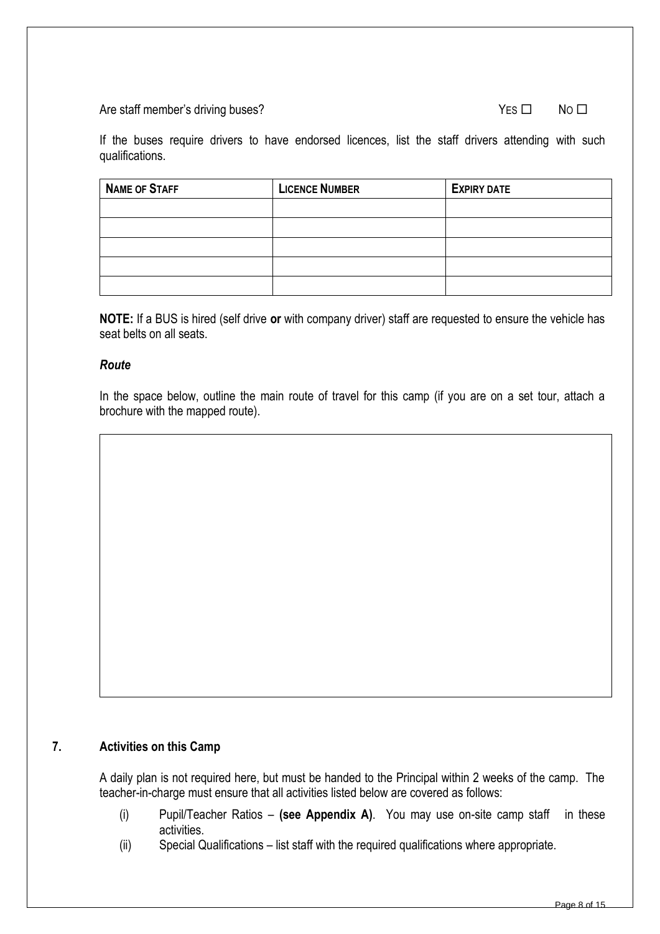#### Are staff member's driving buses?

| $Yes \Box$<br>No $\square$ |  |
|----------------------------|--|
|----------------------------|--|

If the buses require drivers to have endorsed licences, list the staff drivers attending with such qualifications.

| <b>NAME OF STAFF</b> | <b>LICENCE NUMBER</b> | <b>EXPIRY DATE</b> |
|----------------------|-----------------------|--------------------|
|                      |                       |                    |
|                      |                       |                    |
|                      |                       |                    |
|                      |                       |                    |
|                      |                       |                    |

**NOTE:** If a BUS is hired (self drive **or** with company driver) staff are requested to ensure the vehicle has seat belts on all seats.

#### *Route*

In the space below, outline the main route of travel for this camp (if you are on a set tour, attach a brochure with the mapped route).

# **7. Activities on this Camp**

A daily plan is not required here, but must be handed to the Principal within 2 weeks of the camp. The teacher-in-charge must ensure that all activities listed below are covered as follows:

- (i) Pupil/Teacher Ratios **(see Appendix A)**. You may use on-site camp staff in these activities.
- (ii) Special Qualifications list staff with the required qualifications where appropriate.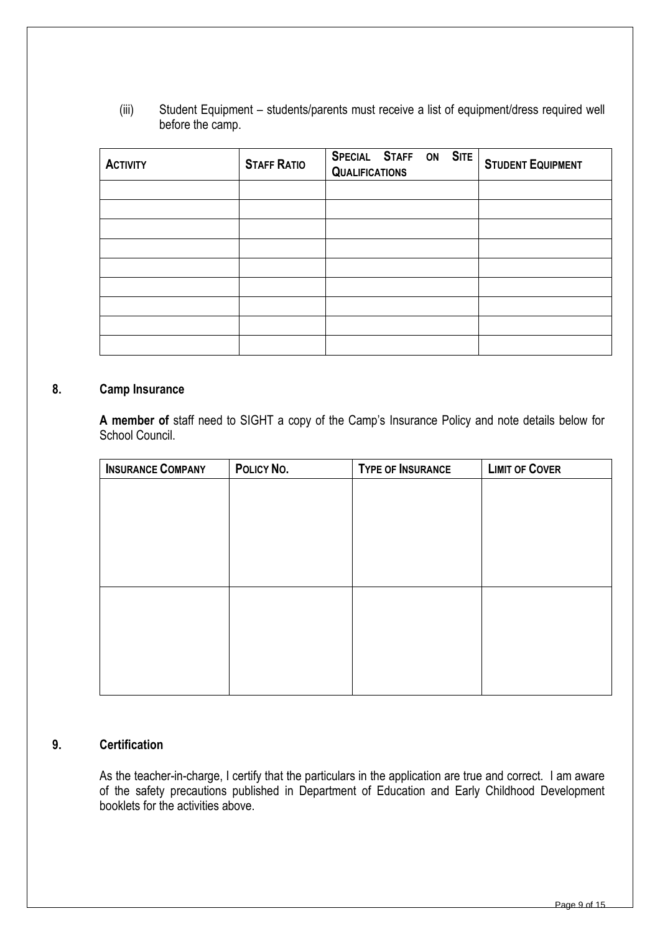(iii) Student Equipment – students/parents must receive a list of equipment/dress required well before the camp.

| <b>ACTIVITY</b> | <b>STAFF RATIO</b> | SPECIAL STAFF ON SITE<br><b>QUALIFICATIONS</b> | <b>STUDENT EQUIPMENT</b> |
|-----------------|--------------------|------------------------------------------------|--------------------------|
|                 |                    |                                                |                          |
|                 |                    |                                                |                          |
|                 |                    |                                                |                          |
|                 |                    |                                                |                          |
|                 |                    |                                                |                          |
|                 |                    |                                                |                          |
|                 |                    |                                                |                          |
|                 |                    |                                                |                          |
|                 |                    |                                                |                          |

#### **8. Camp Insurance**

**A member of** staff need to SIGHT a copy of the Camp's Insurance Policy and note details below for School Council.

| <b>INSURANCE COMPANY</b> | POLICY NO. | <b>TYPE OF INSURANCE</b> | <b>LIMIT OF COVER</b> |
|--------------------------|------------|--------------------------|-----------------------|
|                          |            |                          |                       |
|                          |            |                          |                       |
|                          |            |                          |                       |
|                          |            |                          |                       |
|                          |            |                          |                       |
|                          |            |                          |                       |
|                          |            |                          |                       |
|                          |            |                          |                       |
|                          |            |                          |                       |
|                          |            |                          |                       |
|                          |            |                          |                       |

### **9. Certification**

As the teacher-in-charge, I certify that the particulars in the application are true and correct. I am aware of the safety precautions published in Department of Education and Early Childhood Development booklets for the activities above.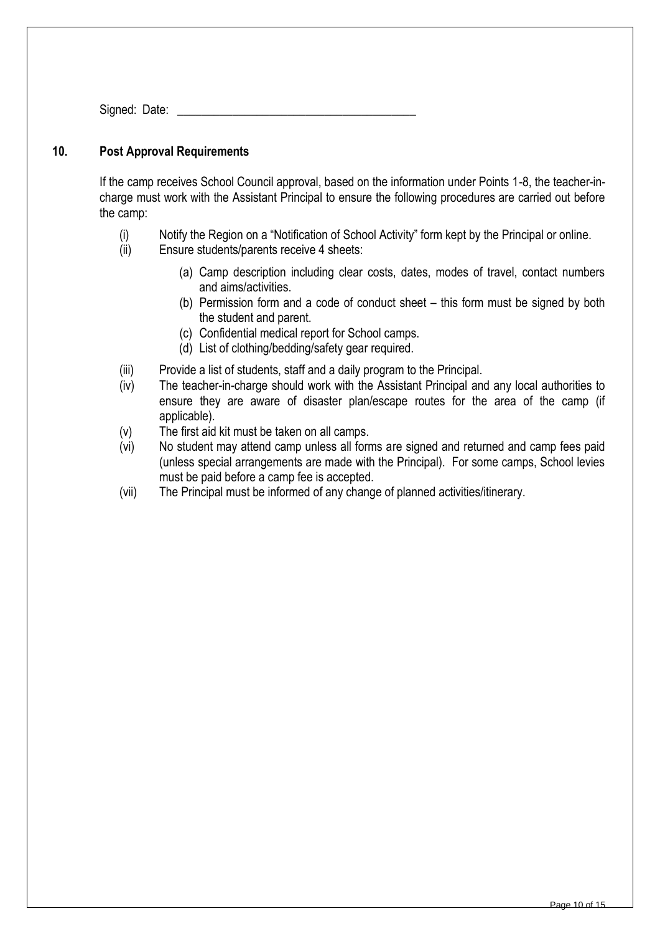Signed: Date:

### **10. Post Approval Requirements**

If the camp receives School Council approval, based on the information under Points 1-8, the teacher-incharge must work with the Assistant Principal to ensure the following procedures are carried out before the camp:

- (i) Notify the Region on a "Notification of School Activity" form kept by the Principal or online.
- (ii) Ensure students/parents receive 4 sheets:
	- (a) Camp description including clear costs, dates, modes of travel, contact numbers and aims/activities.
	- (b) Permission form and a code of conduct sheet this form must be signed by both the student and parent.
	- (c) Confidential medical report for School camps.
	- (d) List of clothing/bedding/safety gear required.
- (iii) Provide a list of students, staff and a daily program to the Principal.
- (iv) The teacher-in-charge should work with the Assistant Principal and any local authorities to ensure they are aware of disaster plan/escape routes for the area of the camp (if applicable).
- (v) The first aid kit must be taken on all camps.
- (vi) No student may attend camp unless all forms are signed and returned and camp fees paid (unless special arrangements are made with the Principal). For some camps, School levies must be paid before a camp fee is accepted.
- (vii) The Principal must be informed of any change of planned activities/itinerary.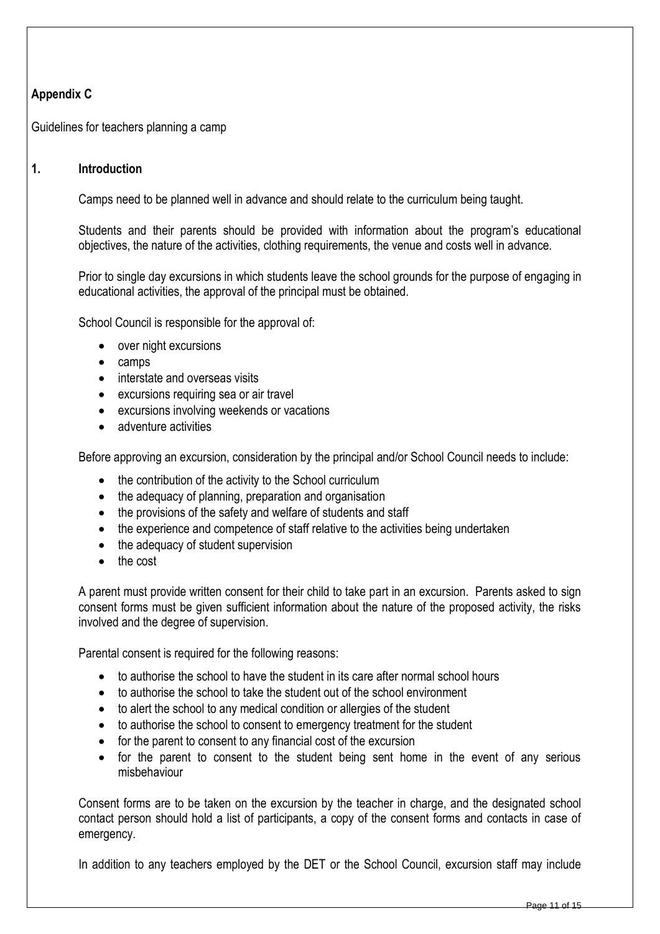# **Appendix C**

Guidelines for teachers planning a camp

## **1. Introduction**

Camps need to be planned well in advance and should relate to the curriculum being taught.

Students and their parents should be provided with information about the program's educational objectives, the nature of the activities, clothing requirements, the venue and costs well in advance.

Prior to single day excursions in which students leave the school grounds for the purpose of engaging in educational activities, the approval of the principal must be obtained.

School Council is responsible for the approval of:

- over night excursions
- camps
- interstate and overseas visits
- excursions requiring sea or air travel
- excursions involving weekends or vacations
- adventure activities

Before approving an excursion, consideration by the principal and/or School Council needs to include:

- the contribution of the activity to the School curriculum
- the adequacy of planning, preparation and organisation
- the provisions of the safety and welfare of students and staff
- the experience and competence of staff relative to the activities being undertaken
- the adequacy of student supervision
- the cost

A parent must provide written consent for their child to take part in an excursion. Parents asked to sign consent forms must be given sufficient information about the nature of the proposed activity, the risks involved and the degree of supervision.

Parental consent is required for the following reasons:

- to authorise the school to have the student in its care after normal school hours
- to authorise the school to take the student out of the school environment
- to alert the school to any medical condition or allergies of the student
- to authorise the school to consent to emergency treatment for the student
- for the parent to consent to any financial cost of the excursion
- for the parent to consent to the student being sent home in the event of any serious misbehaviour

Consent forms are to be taken on the excursion by the teacher in charge, and the designated school contact person should hold a list of participants, a copy of the consent forms and contacts in case of emergency.

In addition to any teachers employed by the DET or the School Council, excursion staff may include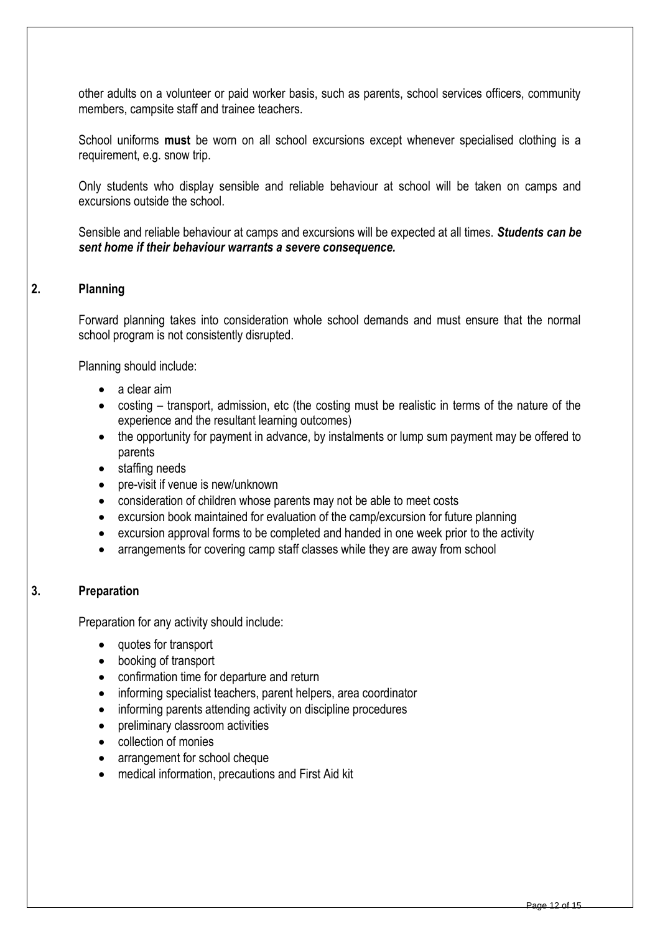other adults on a volunteer or paid worker basis, such as parents, school services officers, community members, campsite staff and trainee teachers.

School uniforms **must** be worn on all school excursions except whenever specialised clothing is a requirement, e.g. snow trip.

Only students who display sensible and reliable behaviour at school will be taken on camps and excursions outside the school.

Sensible and reliable behaviour at camps and excursions will be expected at all times. *Students can be sent home if their behaviour warrants a severe consequence.*

## **2. Planning**

Forward planning takes into consideration whole school demands and must ensure that the normal school program is not consistently disrupted.

Planning should include:

- a clear aim
- costing transport, admission, etc (the costing must be realistic in terms of the nature of the experience and the resultant learning outcomes)
- the opportunity for payment in advance, by instalments or lump sum payment may be offered to parents
- staffing needs
- pre-visit if venue is new/unknown
- consideration of children whose parents may not be able to meet costs
- excursion book maintained for evaluation of the camp/excursion for future planning
- excursion approval forms to be completed and handed in one week prior to the activity
- arrangements for covering camp staff classes while they are away from school

## **3. Preparation**

Preparation for any activity should include:

- quotes for transport
- booking of transport
- confirmation time for departure and return
- informing specialist teachers, parent helpers, area coordinator
- informing parents attending activity on discipline procedures
- preliminary classroom activities
- collection of monies
- arrangement for school cheque
- medical information, precautions and First Aid kit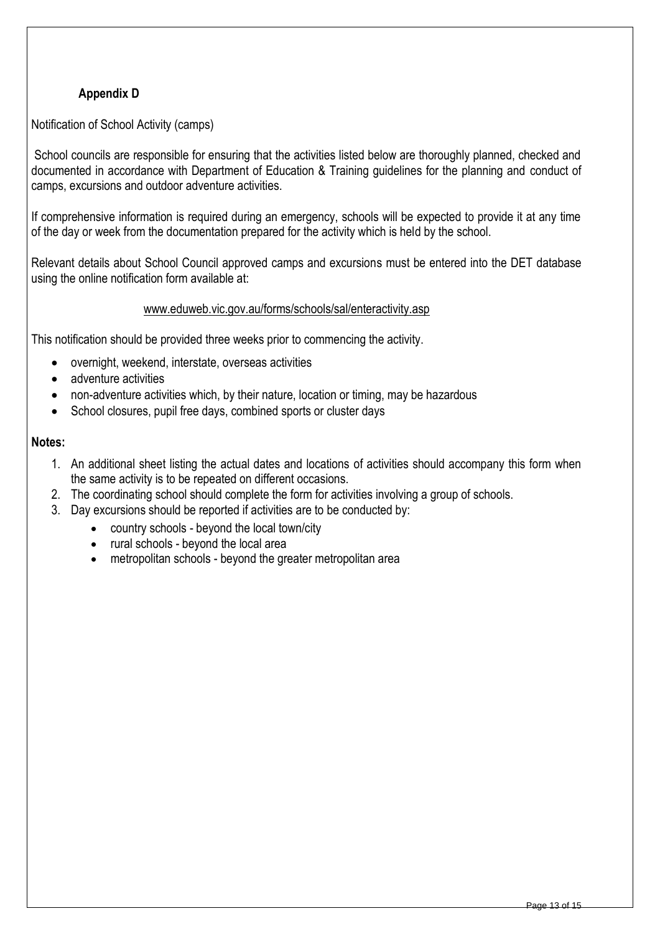# **Appendix D**

Notification of School Activity (camps)

School councils are responsible for ensuring that the activities listed below are thoroughly planned, checked and documented in accordance with Department of Education & Training guidelines for the planning and conduct of camps, excursions and outdoor adventure activities.

If comprehensive information is required during an emergency, schools will be expected to provide it at any time of the day or week from the documentation prepared for the activity which is held by the school.

Relevant details about School Council approved camps and excursions must be entered into the DET database using the online notification form available at:

#### [www.eduweb.vic.gov.au/forms/schools/sal/enteractivity.asp](http://www.eduweb.vic.gov.au/forms/schools/sal/enteractivity.asp)

This notification should be provided three weeks prior to commencing the activity.

- overnight, weekend, interstate, overseas activities
- adventure activities
- non-adventure activities which, by their nature, location or timing, may be hazardous
- School closures, pupil free days, combined sports or cluster days

#### **Notes:**

- 1. An additional sheet listing the actual dates and locations of activities should accompany this form when the same activity is to be repeated on different occasions.
- 2. The coordinating school should complete the form for activities involving a group of schools.
- 3. Day excursions should be reported if activities are to be conducted by:
	- country schools beyond the local town/city
	- rural schools beyond the local area
	- metropolitan schools beyond the greater metropolitan area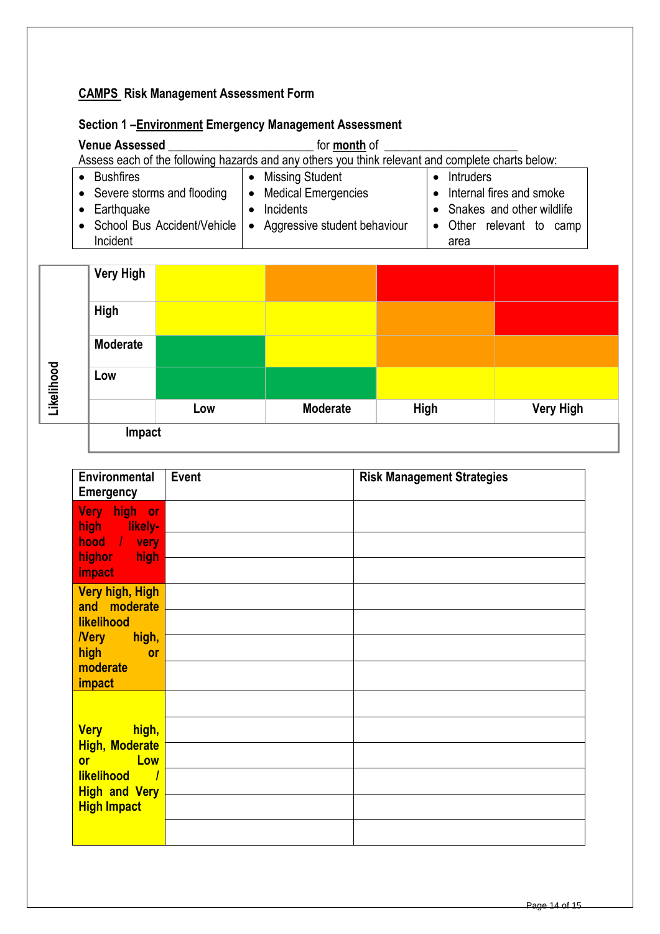# **CAMPS Risk Management Assessment Form**

| Section 1-Environment Emergency Management Assessment |  |
|-------------------------------------------------------|--|
|-------------------------------------------------------|--|

| <b>Venue Assessed</b>                                                                             | for <b>month</b> of                                          |                             |  |  |
|---------------------------------------------------------------------------------------------------|--------------------------------------------------------------|-----------------------------|--|--|
| Assess each of the following hazards and any others you think relevant and complete charts below: |                                                              |                             |  |  |
| <b>Bushfires</b>                                                                                  | <b>Missing Student</b><br>$\bullet$                          | Intruders                   |  |  |
| • Severe storms and flooding                                                                      | • Medical Emergencies                                        | • Internal fires and smoke  |  |  |
| Earthquake                                                                                        | Incidents                                                    | • Snakes and other wildlife |  |  |
|                                                                                                   | School Bus Accident/Vehicle   • Aggressive student behaviour | Other relevant to camp      |  |  |
| Incident                                                                                          |                                                              | area                        |  |  |

|            | <b>Very High</b> |     |                 |      |                  |
|------------|------------------|-----|-----------------|------|------------------|
| Likelihood | High             |     |                 |      |                  |
|            | <b>Moderate</b>  |     |                 |      |                  |
|            | Low              |     |                 |      |                  |
|            |                  | Low | <b>Moderate</b> | High | <b>Very High</b> |
|            | Impact           |     |                 |      |                  |

| Environmental<br><b>Emergency</b>                                                                                  | <b>Event</b> | <b>Risk Management Strategies</b> |
|--------------------------------------------------------------------------------------------------------------------|--------------|-----------------------------------|
| Very high or<br><b>The likely-</b><br>high<br>hood / very<br>highor high<br>impact                                 |              |                                   |
| <b>Very high, High</b><br>and moderate<br>likelihood<br><b>Nery</b><br><b>Example 1</b> high,<br>high<br><b>or</b> |              |                                   |
| moderate<br>impact                                                                                                 |              |                                   |
| <b>Very</b><br>high,<br><b>High, Moderate</b><br><b>Example 1</b><br><b>or</b>                                     |              |                                   |
| <b>likelihood</b><br>$\overline{\phantom{0}}$<br><b>High and Very</b><br><b>High Impact</b>                        |              |                                   |
|                                                                                                                    |              |                                   |